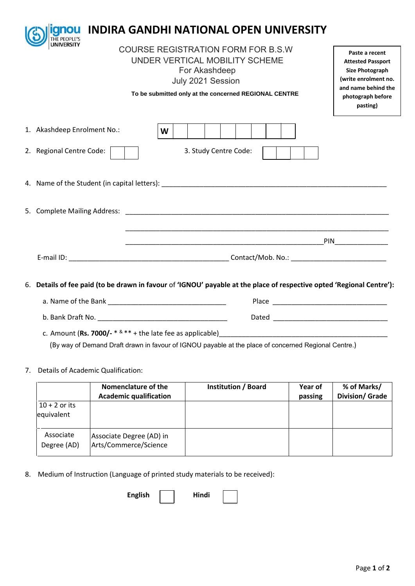|                                                                                                                                                                                            | <b>gnou</b>                                                                                                           |   |  |                       |                                                                                                                                               | <b>INDIRA GANDHI NATIONAL OPEN UNIVERSITY</b> |                         |
|--------------------------------------------------------------------------------------------------------------------------------------------------------------------------------------------|-----------------------------------------------------------------------------------------------------------------------|---|--|-----------------------|-----------------------------------------------------------------------------------------------------------------------------------------------|-----------------------------------------------|-------------------------|
| THE PEOPLE'S<br><b>COURSE REGISTRATION FORM FOR B.S.W</b><br>UNDER VERTICAL MOBILITY SCHEME<br>For Akashdeep<br>July 2021 Session<br>To be submitted only at the concerned REGIONAL CENTRE |                                                                                                                       |   |  |                       | Paste a recent<br><b>Attested Passport</b><br>Size Photograph<br>(write enrolment no.<br>and name behind the<br>photograph before<br>pasting) |                                               |                         |
|                                                                                                                                                                                            | 1. Akashdeep Enrolment No.:                                                                                           | W |  |                       |                                                                                                                                               |                                               |                         |
|                                                                                                                                                                                            | 2. Regional Centre Code:                                                                                              |   |  | 3. Study Centre Code: |                                                                                                                                               |                                               |                         |
|                                                                                                                                                                                            |                                                                                                                       |   |  |                       |                                                                                                                                               |                                               |                         |
|                                                                                                                                                                                            |                                                                                                                       |   |  |                       |                                                                                                                                               |                                               |                         |
|                                                                                                                                                                                            |                                                                                                                       |   |  |                       |                                                                                                                                               |                                               | <b>PIN Example 2008</b> |
|                                                                                                                                                                                            |                                                                                                                       |   |  |                       |                                                                                                                                               |                                               |                         |
|                                                                                                                                                                                            | 6. Details of fee paid (to be drawn in favour of 'IGNOU' payable at the place of respective opted 'Regional Centre'): |   |  |                       |                                                                                                                                               |                                               |                         |
|                                                                                                                                                                                            |                                                                                                                       |   |  |                       |                                                                                                                                               |                                               |                         |

| b. Bank Draft No.<br>_____ | Daleu |  |
|----------------------------|-------|--|
|                            |       |  |

c. Amount (**Rs. 7000/-** \* & \*\* + the late fee as applicable)\_\_\_\_\_\_\_\_\_\_\_\_\_\_\_\_\_\_\_\_\_\_\_\_\_\_\_\_\_\_\_\_\_\_\_\_\_\_\_\_\_\_\_\_ (By way of Demand Draft drawn in favour of IGNOU payable at the place of concerned Regional Centre.)

## 7. Details of Academic Qualification:

|                               | Nomenclature of the<br><b>Academic qualification</b> | Institution / Board | Year of<br>passing | % of Marks/<br><b>Division/ Grade</b> |
|-------------------------------|------------------------------------------------------|---------------------|--------------------|---------------------------------------|
| $10 + 2$ or its<br>equivalent |                                                      |                     |                    |                                       |
| Associate<br>Degree (AD)      | Associate Degree (AD) in<br>Arts/Commerce/Science    |                     |                    |                                       |

8. Medium of Instruction (Language of printed study materials to be received):

English | Hindi